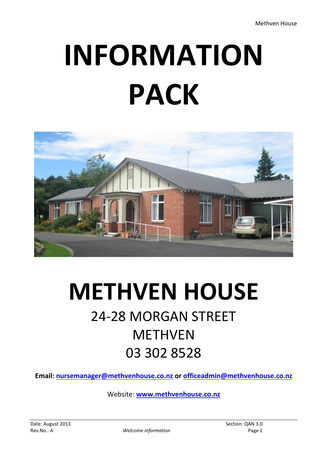# **INFORMATION PACK**



# **METHVEN HOUSE** 24-28 MORGAN STREET METHVEN 03 302 8528

**Email: [nursemanager@methvenhouse.co.nz](mailto:nursemanager@methvenhouse.co.nz) or [officeadmin@methvenhouse.co.nz](mailto:officeadmin@methvenhouse.co.nz)**

Website: **[www.methvenhouse.co.nz](http://www.methvenhouse.co.nz/)**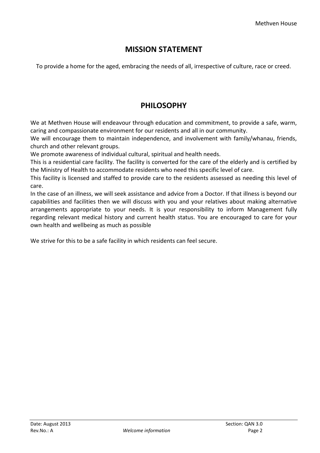# **MISSION STATEMENT**

To provide a home for the aged, embracing the needs of all, irrespective of culture, race or creed.

# **PHILOSOPHY**

We at Methven House will endeavour through education and commitment, to provide a safe, warm, caring and compassionate environment for our residents and all in our community.

We will encourage them to maintain independence, and involvement with family/whanau, friends, church and other relevant groups.

We promote awareness of individual cultural, spiritual and health needs.

This is a residential care facility. The facility is converted for the care of the elderly and is certified by the Ministry of Health to accommodate residents who need this specific level of care.

This facility is licensed and staffed to provide care to the residents assessed as needing this level of care.

In the case of an illness, we will seek assistance and advice from a Doctor. If that illness is beyond our capabilities and facilities then we will discuss with you and your relatives about making alternative arrangements appropriate to your needs. It is your responsibility to inform Management fully regarding relevant medical history and current health status. You are encouraged to care for your own health and wellbeing as much as possible

We strive for this to be a safe facility in which residents can feel secure.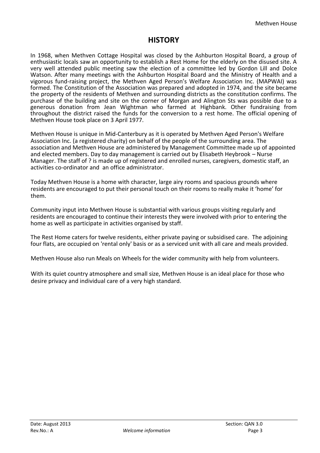# **HISTORY**

In 1968, when Methven Cottage Hospital was closed by the Ashburton Hospital Board, a group of enthusiastic locals saw an opportunity to establish a Rest Home for the elderly on the disused site. A very well attended public meeting saw the election of a committee led by Gordon Lill and Dolce Watson. After many meetings with the Ashburton Hospital Board and the Ministry of Health and a vigorous fund-raising project, the Methven Aged Person's Welfare Association Inc. (MAPWAI) was formed. The Constitution of the Association was prepared and adopted in 1974, and the site became the property of the residents of Methven and surrounding districts as the constitution confirms. The purchase of the building and site on the corner of Morgan and Alington Sts was possible due to a generous donation from Jean Wightman who farmed at Highbank. Other fundraising from throughout the district raised the funds for the conversion to a rest home. The official opening of Methven House took place on 3 April 1977.

Methven House is unique in Mid-Canterbury as it is operated by Methven Aged Person's Welfare Association Inc. (a registered charity) on behalf of the people of the surrounding area. The association and Methven House are administered by Management Committee made up of appointed and elected members. Day to day management is carried out by Elisabeth Heybrook – Nurse Manager. The staff of ? is made up of registered and enrolled nurses, caregivers, domestic staff, an activities co-ordinator and an office administrator.

Today Methven House is a home with character, large airy rooms and spacious grounds where residents are encouraged to put their personal touch on their rooms to really make it 'home' for them.

Community input into Methven House is substantial with various groups visiting regularly and residents are encouraged to continue their interests they were involved with prior to entering the home as well as participate in activities organised by staff.

The Rest Home caters for twelve residents, either private paying or subsidised care. The adjoining four flats, are occupied on 'rental only' basis or as a serviced unit with all care and meals provided.

Methven House also run Meals on Wheels for the wider community with help from volunteers.

With its quiet country atmosphere and small size, Methven House is an ideal place for those who desire privacy and individual care of a very high standard.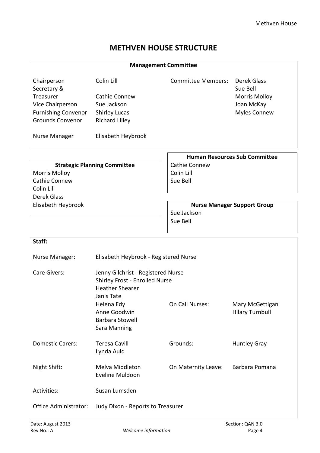# **METHVEN HOUSE STRUCTURE**

| <b>Management Committee</b>                                                                                          |                                                                                                                                                                                      |                                                |                                                                                      |  |
|----------------------------------------------------------------------------------------------------------------------|--------------------------------------------------------------------------------------------------------------------------------------------------------------------------------------|------------------------------------------------|--------------------------------------------------------------------------------------|--|
| Chairperson<br>Secretary &<br>Treasurer<br>Vice Chairperson<br><b>Furnishing Convenor</b><br><b>Grounds Convenor</b> | Colin Lill<br><b>Cathie Connew</b><br>Sue Jackson<br><b>Shirley Lucas</b><br><b>Richard Lilley</b>                                                                                   | <b>Committee Members:</b>                      | Derek Glass<br>Sue Bell<br><b>Morris Molloy</b><br>Joan McKay<br><b>Myles Connew</b> |  |
| Nurse Manager                                                                                                        | Elisabeth Heybrook                                                                                                                                                                   |                                                |                                                                                      |  |
| <b>Morris Molloy</b><br>Cathie Connew<br>Colin Lill<br><b>Derek Glass</b>                                            | <b>Strategic Planning Committee</b>                                                                                                                                                  | <b>Cathie Connew</b><br>Colin Lill<br>Sue Bell | <b>Human Resources Sub Committee</b>                                                 |  |
| Elisabeth Heybrook                                                                                                   |                                                                                                                                                                                      | Sue Jackson<br>Sue Bell                        | <b>Nurse Manager Support Group</b>                                                   |  |
| Staff:                                                                                                               |                                                                                                                                                                                      |                                                |                                                                                      |  |
| Nurse Manager:                                                                                                       | Elisabeth Heybrook - Registered Nurse                                                                                                                                                |                                                |                                                                                      |  |
| Care Givers:                                                                                                         | Jenny Gilchrist - Registered Nurse<br>Shirley Frost - Enrolled Nurse<br><b>Heather Shearer</b><br>Janis Tate<br>Helena Edy<br>Anne Goodwin<br><b>Barbara Stowell</b><br>Sara Manning | On Call Nurses:                                | Mary McGettigan<br><b>Hilary Turnbull</b>                                            |  |
| <b>Domestic Carers:</b>                                                                                              | <b>Teresa Cavill</b><br>Lynda Auld                                                                                                                                                   | Grounds:                                       | <b>Huntley Gray</b>                                                                  |  |
| Night Shift:                                                                                                         | Melva Middleton<br>Eveline Muldoon                                                                                                                                                   | On Maternity Leave:                            | Barbara Pomana                                                                       |  |
| Activities:                                                                                                          | Susan Lumsden                                                                                                                                                                        |                                                |                                                                                      |  |
| <b>Office Administrator:</b>                                                                                         | Judy Dixon - Reports to Treasurer                                                                                                                                                    |                                                |                                                                                      |  |
| Date: August 2013                                                                                                    |                                                                                                                                                                                      |                                                | Section: QAN 3.0                                                                     |  |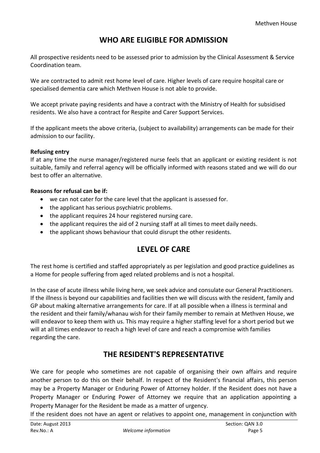# **WHO ARE ELIGIBLE FOR ADMISSION**

All prospective residents need to be assessed prior to admission by the Clinical Assessment & Service Coordination team.

We are contracted to admit rest home level of care. Higher levels of care require hospital care or specialised dementia care which Methven House is not able to provide.

We accept private paying residents and have a contract with the Ministry of Health for subsidised residents. We also have a contract for Respite and Carer Support Services.

If the applicant meets the above criteria, (subject to availability) arrangements can be made for their admission to our facility.

#### **Refusing entry**

If at any time the nurse manager/registered nurse feels that an applicant or existing resident is not suitable, family and referral agency will be officially informed with reasons stated and we will do our best to offer an alternative.

#### **Reasons for refusal can be if:**

- we can not cater for the care level that the applicant is assessed for.
- the applicant has serious psychiatric problems.
- the applicant requires 24 hour registered nursing care.
- the applicant requires the aid of 2 nursing staff at all times to meet daily needs.
- the applicant shows behaviour that could disrupt the other residents.

# **LEVEL OF CARE**

The rest home is certified and staffed appropriately as per legislation and good practice guidelines as a Home for people suffering from aged related problems and is not a hospital.

In the case of acute illness while living here, we seek advice and consulate our General Practitioners. If the illness is beyond our capabilities and facilities then we will discuss with the resident, family and GP about making alternative arrangements for care. If at all possible when a illness is terminal and the resident and their family/whanau wish for their family member to remain at Methven House, we will endeavor to keep them with us. This may require a higher staffing level for a short period but we will at all times endeavor to reach a high level of care and reach a compromise with families regarding the care.

# **THE RESIDENT'S REPRESENTATIVE**

We care for people who sometimes are not capable of organising their own affairs and require another person to do this on their behalf. In respect of the Resident's financial affairs, this person may be a Property Manager or Enduring Power of Attorney holder. If the Resident does not have a Property Manager or Enduring Power of Attorney we require that an application appointing a Property Manager for the Resident be made as a matter of urgency.

If the resident does not have an agent or relatives to appoint one, management in conjunction with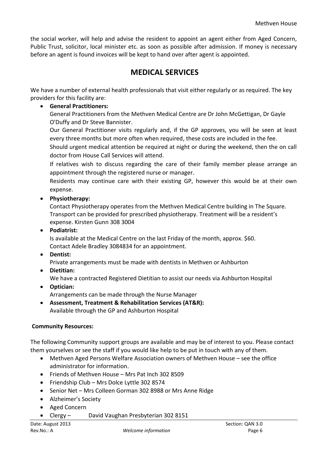the social worker, will help and advise the resident to appoint an agent either from Aged Concern, Public Trust, solicitor, local minister etc. as soon as possible after admission. If money is necessary before an agent is found invoices will be kept to hand over after agent is appointed.

# **MEDICAL SERVICES**

We have a number of external health professionals that visit either regularly or as required. The key providers for this facility are:

#### **General Practitioners:**

General Practitioners from the Methven Medical Centre are Dr John McGettigan, Dr Gayle O'Duffy and Dr Steve Bannister.

Our General Practitioner visits regularly and, if the GP approves, you will be seen at least every three months but more often when required, these costs are included in the fee.

Should urgent medical attention be required at night or during the weekend, then the on call doctor from House Call Services will attend.

If relatives wish to discuss regarding the care of their family member please arrange an appointment through the registered nurse or manager.

Residents may continue care with their existing GP, however this would be at their own expense.

**Physiotherapy:**

Contact Physiotherapy operates from the Methven Medical Centre building in The Square. Transport can be provided for prescribed physiotherapy. Treatment will be a resident's expense. Kirsten Gunn 308 3004

**Podiatrist:**

Is available at the Medical Centre on the last Friday of the month, approx. \$60. Contact Adele Bradley 3084834 for an appointment.

**Dentist:**

Private arrangements must be made with dentists in Methven or Ashburton

**Dietitian:**

We have a contracted Registered Dietitian to assist our needs via Ashburton Hospital

- **Optician:** Arrangements can be made through the Nurse Manager
- **Assessment, Treatment & Rehabilitation Services (AT&R):** Available through the GP and Ashburton Hospital

#### **Community Resources:**

The following Community support groups are available and may be of interest to you. Please contact them yourselves or see the staff if you would like help to be put in touch with any of them.

- Methven Aged Persons Welfare Association owners of Methven House see the office administrator for information.
- Friends of Methven House Mrs Pat Inch 302 8509
- Friendship Club Mrs Dolce Lyttle 302 8574
- Senior Net Mrs Colleen Gorman 302 8988 or Mrs Anne Ridge
- Alzheimer's Society
- Aged Concern
- Clergy David Vaughan Presbyterian 302 8151

Rev.No.: A *Welcome information* Page 6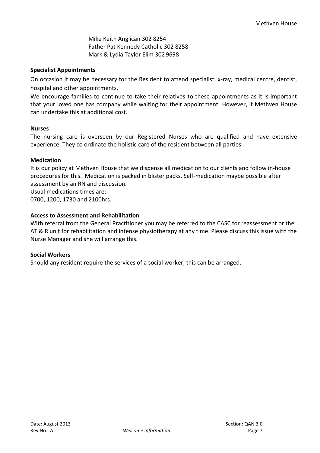Mike Keith Anglican 302 8254 Father Pat Kennedy Catholic 302 8258 Mark & Lydia Taylor Elim 302 9698

#### **Specialist Appointments**

On occasion it may be necessary for the Resident to attend specialist, x-ray, medical centre, dentist, hospital and other appointments.

We encourage families to continue to take their relatives to these appointments as it is important that your loved one has company while waiting for their appointment. However, if Methven House can undertake this at additional cost.

#### **Nurses**

The nursing care is overseen by our Registered Nurses who are qualified and have extensive experience. They co ordinate the holistic care of the resident between all parties.

#### **Medication**

It is our policy at Methven House that we dispense all medication to our clients and follow in-house procedures for this. Medication is packed in blister packs. Self-medication maybe possible after assessment by an RN and discussion.

Usual medications times are:

0700, 1200, 1730 and 2100hrs.

#### **Access to Assessment and Rehabilitation**

With referral from the General Practitioner you may be referred to the CASC for reassessment or the AT & R unit for rehabilitation and intense physiotherapy at any time. Please discuss this issue with the Nurse Manager and she will arrange this.

#### **Social Workers**

Should any resident require the services of a social worker, this can be arranged.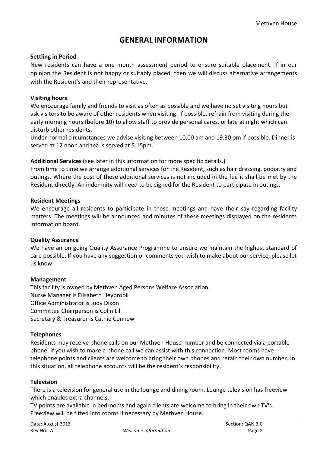# **GENERAL INFORMATION**

#### **Settling in Period**

New residents can have a one month assessment period to ensure suitable placement. If in our opinion the Resident is not happy or suitably placed, then we will discuss alternative arrangements with the Resident's and their representative**.**

#### **Visiting hours**

We encourage family and friends to visit as often as possible and we have no set visiting hours but ask visitors to be aware of other residents when visiting. If possible, refrain from visiting during the early morning hours (before 10) to allow staff to provide personal cares, or late at night which can disturb other residents.

Under normal circumstances we advise visiting between 10.00 am and 19.30 pm if possible. Dinner is served at 12 noon and tea is served at 5.15pm.

**Additional Services (**see later in this information for more specific details.)

From time to time we arrange additional services for the Resident, such as hair dressing, podiatry and outings. Where the cost of these additional services is not included in the fee it shall be met by the Resident directly. An indemnity will need to be signed for the Resident to participate in outings.

#### **Resident Meetings**

We encourage all residents to participate in these meetings and have their say regarding facility matters. The meetings will be announced and minutes of these meetings displayed on the residents information board.

#### **Quality Assurance**

We have an on going Quality Assurance Programme to ensure we maintain the highest standard of care possible. If you have any suggestion or comments you wish to make about our service, please let us know

#### **Management**

This facility is owned by Methven Aged Persons Welfare Association Nurse Manager is Elisabeth Heybrook Office Administrator is Judy Dixon Committee Chairperson is Colin Lill Secretary & Treasurer is Cathie Connew

#### **Telephones**

Residents may receive phone calls on our Methven House number and be connected via a portable phone. If you wish to make a phone call we can assist with this connection. Most rooms have telephone points and clients are welcome to bring their own phones and retain their own number. In this situation, all telephone accounts will be the resident's responsibility.

#### **Television**

There is a television for general use in the lounge and dining room. Lounge television has freeview which enables extra channels.

TV points are available in bedrooms and again clients are welcome to bring in their own TV's. Freeview will be fitted into rooms if necessary by Methven House.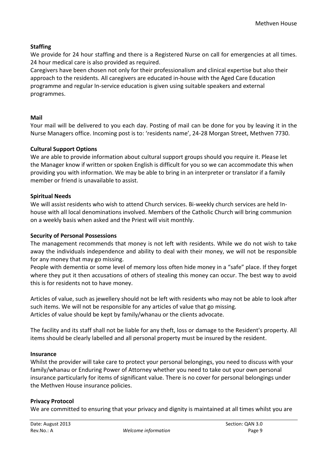#### **Staffing**

We provide for 24 hour staffing and there is a Registered Nurse on call for emergencies at all times. 24 hour medical care is also provided as required.

Caregivers have been chosen not only for their professionalism and clinical expertise but also their approach to the residents. All caregivers are educated in-house with the Aged Care Education programme and regular In-service education is given using suitable speakers and external programmes.

#### **Mail**

Your mail will be delivered to you each day. Posting of mail can be done for you by leaving it in the Nurse Managers office. Incoming post is to: 'residents name', 24-28 Morgan Street, Methven 7730.

#### **Cultural Support Options**

We are able to provide information about cultural support groups should you require it. Please let the Manager know if written or spoken English is difficult for you so we can accommodate this when providing you with information. We may be able to bring in an interpreter or translator if a family member or friend is unavailable to assist.

#### **Spiritual Needs**

We will assist residents who wish to attend Church services. Bi-weekly church services are held Inhouse with all local denominations involved. Members of the Catholic Church will bring communion on a weekly basis when asked and the Priest will visit monthly.

#### **Security of Personal Possessions**

The management recommends that money is not left with residents. While we do not wish to take away the individuals independence and ability to deal with their money, we will not be responsible for any money that may go missing.

People with dementia or some level of memory loss often hide money in a "safe" place. If they forget where they put it then accusations of others of stealing this money can occur. The best way to avoid this is for residents not to have money.

Articles of value, such as jewellery should not be left with residents who may not be able to look after such items. We will not be responsible for any articles of value that go missing. Articles of value should be kept by family/whanau or the clients advocate.

The facility and its staff shall not be liable for any theft, loss or damage to the Resident's property. All items should be clearly labelled and all personal property must be insured by the resident.

#### **Insurance**

Whilst the provider will take care to protect your personal belongings, you need to discuss with your family/whanau or Enduring Power of Attorney whether you need to take out your own personal insurance particularly for items of significant value. There is no cover for personal belongings under the Methven House insurance policies.

#### **Privacy Protocol**

We are committed to ensuring that your privacy and dignity is maintained at all times whilst you are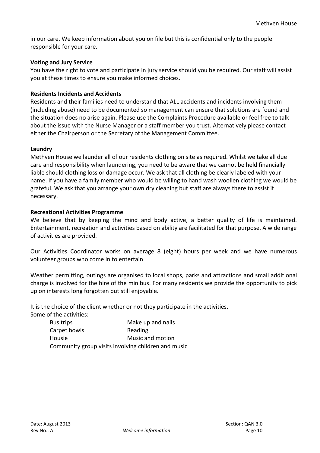in our care. We keep information about you on file but this is confidential only to the people responsible for your care.

#### **Voting and Jury Service**

You have the right to vote and participate in jury service should you be required. Our staff will assist you at these times to ensure you make informed choices.

#### **Residents Incidents and Accidents**

Residents and their families need to understand that ALL accidents and incidents involving them (including abuse) need to be documented so management can ensure that solutions are found and the situation does no arise again. Please use the Complaints Procedure available or feel free to talk about the issue with the Nurse Manager or a staff member you trust. Alternatively please contact either the Chairperson or the Secretary of the Management Committee.

#### **Laundry**

Methven House we launder all of our residents clothing on site as required. Whilst we take all due care and responsibility when laundering, you need to be aware that we cannot be held financially liable should clothing loss or damage occur. We ask that all clothing be clearly labeled with your name. If you have a family member who would be willing to hand wash woollen clothing we would be grateful. We ask that you arrange your own dry cleaning but staff are always there to assist if necessary.

#### **Recreational Activities Programme**

We believe that by keeping the mind and body active, a better quality of life is maintained. Entertainment, recreation and activities based on ability are facilitated for that purpose. A wide range of activities are provided.

Our Activities Coordinator works on average 8 (eight) hours per week and we have numerous volunteer groups who come in to entertain

Weather permitting, outings are organised to local shops, parks and attractions and small additional charge is involved for the hire of the minibus. For many residents we provide the opportunity to pick up on interests long forgotten but still enjoyable.

It is the choice of the client whether or not they participate in the activities.

Some of the activities:

| Bus trips                                           | Make up and nails |  |
|-----------------------------------------------------|-------------------|--|
| Carpet bowls                                        | Reading           |  |
| Housie                                              | Music and motion  |  |
| Community group visits involving children and music |                   |  |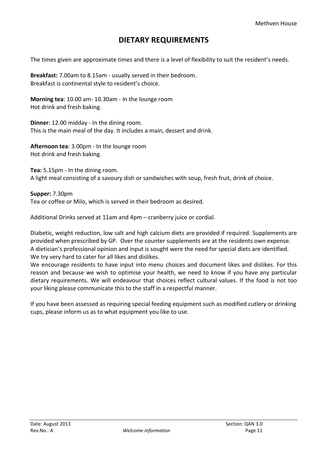# **DIETARY REQUIREMENTS**

The times given are approximate times and there is a level of flexibility to suit the resident's needs.

**Breakfast:** 7.00am to 8.15am - usually served in their bedroom. Breakfast is continental style to resident's choice.

**Morning tea**: 10.00 am- 10.30am - In the lounge room Hot drink and fresh baking.

**Dinner**: 12.00 midday - In the dining room. This is the main meal of the day. It includes a main, dessert and drink.

**Afternoon tea**: 3.00pm - In the lounge room Hot drink and fresh baking.

**Tea:** 5.15pm - In the dining room. A light meal consisting of a savoury dish or sandwiches with soup, fresh fruit, drink of choice.

**Supper:** 7.30pm Tea or coffee or Milo, which is served in their bedroom as desired.

Additional Drinks served at 11am and 4pm – cranberry juice or cordial.

Diabetic, weight reduction, low salt and high calcium diets are provided if required. Supplements are provided when prescribed by GP. Over the counter supplements are at the residents own expense. A dietician's professional opinion and input is sought were the need for special diets are identified. We try very hard to cater for all likes and dislikes.

We encourage residents to have input into menu choices and document likes and dislikes. For this reason and because we wish to optimise your health, we need to know if you have any particular dietary requirements. We will endeavour that choices reflect cultural values. If the food is not too your liking please communicate this to the staff in a respectful manner.

If you have been assessed as requiring special feeding equipment such as modified cutlery or drinking cups, please inform us as to what equipment you like to use.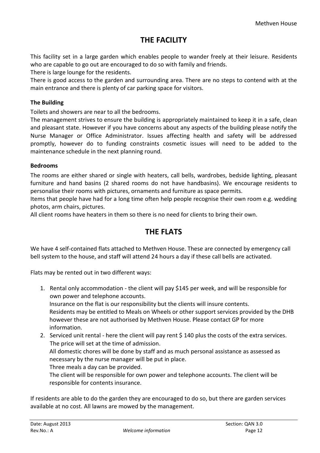# **THE FACILITY**

This facility set in a large garden which enables people to wander freely at their leisure. Residents who are capable to go out are encouraged to do so with family and friends.

There is large lounge for the residents.

There is good access to the garden and surrounding area. There are no steps to contend with at the main entrance and there is plenty of car parking space for visitors.

#### **The Building**

Toilets and showers are near to all the bedrooms.

The management strives to ensure the building is appropriately maintained to keep it in a safe, clean and pleasant state. However if you have concerns about any aspects of the building please notify the Nurse Manager or Office Administrator. Issues affecting health and safety will be addressed promptly, however do to funding constraints cosmetic issues will need to be added to the maintenance schedule in the next planning round.

#### **Bedrooms**

The rooms are either shared or single with heaters, call bells, wardrobes, bedside lighting, pleasant furniture and hand basins (2 shared rooms do not have handbasins). We encourage residents to personalise their rooms with pictures, ornaments and furniture as space permits.

Items that people have had for a long time often help people recognise their own room e.g. wedding photos, arm chairs, pictures.

All client rooms have heaters in them so there is no need for clients to bring their own.

# **THE FLATS**

We have 4 self-contained flats attached to Methven House. These are connected by emergency call bell system to the house, and staff will attend 24 hours a day if these call bells are activated.

Flats may be rented out in two different ways:

1. Rental only accommodation - the client will pay \$145 per week, and will be responsible for own power and telephone accounts.

Insurance on the flat is our responsibility but the clients will insure contents. Residents may be entitled to Meals on Wheels or other support services provided by the DHB however these are not authorised by Methven House. Please contact GP for more information.

2. Serviced unit rental - here the client will pay rent \$ 140 plus the costs of the extra services. The price will set at the time of admission. All domestic chores will be done by staff and as much personal assistance as assessed as necessary by the nurse manager will be put in place. Three meals a day can be provided. The client will be responsible for own power and telephone accounts. The client will be

responsible for contents insurance.

If residents are able to do the garden they are encouraged to do so, but there are garden services available at no cost. All lawns are mowed by the management.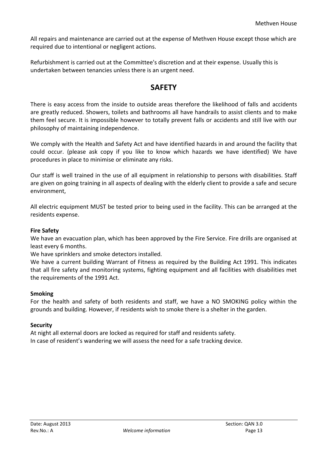All repairs and maintenance are carried out at the expense of Methven House except those which are required due to intentional or negligent actions.

Refurbishment is carried out at the Committee's discretion and at their expense. Usually this is undertaken between tenancies unless there is an urgent need.

# **SAFETY**

There is easy access from the inside to outside areas therefore the likelihood of falls and accidents are greatly reduced. Showers, toilets and bathrooms all have handrails to assist clients and to make them feel secure. It is impossible however to totally prevent falls or accidents and still live with our philosophy of maintaining independence.

We comply with the Health and Safety Act and have identified hazards in and around the facility that could occur. (please ask copy if you like to know which hazards we have identified) We have procedures in place to minimise or eliminate any risks.

Our staff is well trained in the use of all equipment in relationship to persons with disabilities. Staff are given on going training in all aspects of dealing with the elderly client to provide a safe and secure environment,

All electric equipment MUST be tested prior to being used in the facility. This can be arranged at the residents expense.

#### **Fire Safety**

We have an evacuation plan, which has been approved by the Fire Service. Fire drills are organised at least every 6 months.

We have sprinklers and smoke detectors installed.

We have a current building Warrant of Fitness as required by the Building Act 1991. This indicates that all fire safety and monitoring systems, fighting equipment and all facilities with disabilities met the requirements of the 1991 Act.

#### **Smoking**

For the health and safety of both residents and staff, we have a NO SMOKING policy within the grounds and building. However, if residents wish to smoke there is a shelter in the garden.

#### **Security**

At night all external doors are locked as required for staff and residents safety. In case of resident's wandering we will assess the need for a safe tracking device.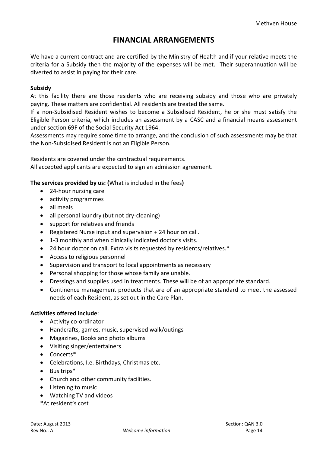# **FINANCIAL ARRANGEMENTS**

We have a current contract and are certified by the Ministry of Health and if your relative meets the criteria for a Subsidy then the majority of the expenses will be met. Their superannuation will be diverted to assist in paying for their care.

#### **Subsidy**

At this facility there are those residents who are receiving subsidy and those who are privately paying. These matters are confidential. All residents are treated the same.

If a non-Subsidised Resident wishes to become a Subsidised Resident, he or she must satisfy the Eligible Person criteria, which includes an assessment by a CASC and a financial means assessment under section 69F of the Social Security Act 1964.

Assessments may require some time to arrange, and the conclusion of such assessments may be that the Non-Subsidised Resident is not an Eligible Person.

Residents are covered under the contractual requirements. All accepted applicants are expected to sign an admission agreement.

**The services provided by us: (**What is included in the fees**)**

- 24-hour nursing care
- activity programmes
- all meals
- all personal laundry (but not dry-cleaning)
- support for relatives and friends
- Registered Nurse input and supervision + 24 hour on call.
- 1-3 monthly and when clinically indicated doctor's visits.
- 24 hour doctor on call. Extra visits requested by residents/relatives.\*
- Access to religious personnel
- Supervision and transport to local appointments as necessary
- Personal shopping for those whose family are unable.
- Dressings and supplies used in treatments. These will be of an appropriate standard.
- Continence management products that are of an appropriate standard to meet the assessed needs of each Resident, as set out in the Care Plan.

#### **Activities offered include**:

- Activity co-ordinator
- Handcrafts, games, music, supervised walk/outings
- Magazines, Books and photo albums
- Visiting singer/entertainers
- Concerts\*
- Celebrations, I.e. Birthdays, Christmas etc.
- Bus trips<sup>\*</sup>
- Church and other community facilities.
- Listening to music
- Watching TV and videos
- \*At resident's cost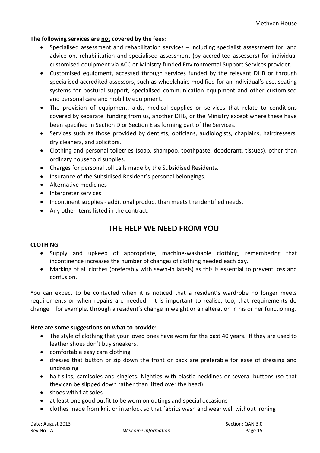#### **The following services are not covered by the fees:**

- Specialised assessment and rehabilitation services including specialist assessment for, and advice on, rehabilitation and specialised assessment (by accredited assessors) for individual customised equipment via ACC or Ministry funded Environmental Support Services provider.
- Customised equipment, accessed through services funded by the relevant DHB or through specialised accredited assessors, such as wheelchairs modified for an individual's use, seating systems for postural support, specialised communication equipment and other customised and personal care and mobility equipment.
- The provision of equipment, aids, medical supplies or services that relate to conditions covered by separate funding from us, another DHB, or the Ministry except where these have been specified in Section D or Section E as forming part of the Services.
- Services such as those provided by dentists, opticians, audiologists, chaplains, hairdressers, dry cleaners, and solicitors.
- Clothing and personal toiletries (soap, shampoo, toothpaste, deodorant, tissues), other than ordinary household supplies.
- Charges for personal toll calls made by the Subsidised Residents.
- Insurance of the Subsidised Resident's personal belongings.
- Alternative medicines
- Interpreter services
- Incontinent supplies additional product than meets the identified needs.
- Any other items listed in the contract.

# **THE HELP WE NEED FROM YOU**

#### **CLOTHING**

- Supply and upkeep of appropriate, machine-washable clothing, remembering that incontinence increases the number of changes of clothing needed each day.
- Marking of all clothes (preferably with sewn-in labels) as this is essential to prevent loss and confusion.

You can expect to be contacted when it is noticed that a resident's wardrobe no longer meets requirements or when repairs are needed. It is important to realise, too, that requirements do change – for example, through a resident's change in weight or an alteration in his or her functioning.

#### **Here are some suggestions on what to provide:**

- The style of clothing that your loved ones have worn for the past 40 years. If they are used to leather shoes don't buy sneakers.
- comfortable easy care clothing
- dresses that button or zip down the front or back are preferable for ease of dressing and undressing
- half-slips, camisoles and singlets. Nighties with elastic necklines or several buttons (so that they can be slipped down rather than lifted over the head)
- shoes with flat soles
- at least one good outfit to be worn on outings and special occasions
- clothes made from knit or interlock so that fabrics wash and wear well without ironing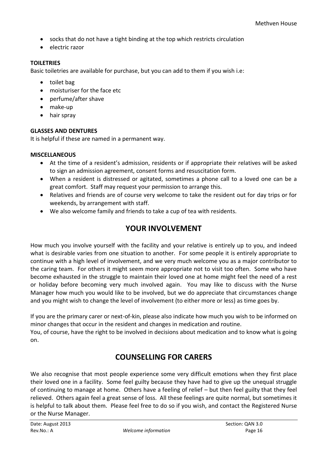- socks that do not have a tight binding at the top which restricts circulation
- electric razor

#### **TOILETRIES**

Basic toiletries are available for purchase, but you can add to them if you wish i.e:

- toilet bag
- moisturiser for the face etc
- perfume/after shave
- make-up
- hair spray

#### **GLASSES AND DENTURES**

It is helpful if these are named in a permanent way.

#### **MISCELLANEOUS**

- At the time of a resident's admission, residents or if appropriate their relatives will be asked to sign an admission agreement, consent forms and resuscitation form.
- When a resident is distressed or agitated, sometimes a phone call to a loved one can be a great comfort. Staff may request your permission to arrange this.
- Relatives and friends are of course very welcome to take the resident out for day trips or for weekends, by arrangement with staff.
- We also welcome family and friends to take a cup of tea with residents.

# **YOUR INVOLVEMENT**

How much you involve yourself with the facility and your relative is entirely up to you, and indeed what is desirable varies from one situation to another. For some people it is entirely appropriate to continue with a high level of involvement, and we very much welcome you as a major contributor to the caring team. For others it might seem more appropriate not to visit too often. Some who have become exhausted in the struggle to maintain their loved one at home might feel the need of a rest or holiday before becoming very much involved again. You may like to discuss with the Nurse Manager how much you would like to be involved, but we do appreciate that circumstances change and you might wish to change the level of involvement (to either more or less) as time goes by.

If you are the primary carer or next-of-kin, please also indicate how much you wish to be informed on minor changes that occur in the resident and changes in medication and routine.

You, of course, have the right to be involved in decisions about medication and to know what is going on.

# **COUNSELLING FOR CARERS**

We also recognise that most people experience some very difficult emotions when they first place their loved one in a facility. Some feel guilty because they have had to give up the unequal struggle of continuing to manage at home. Others have a feeling of relief – but then feel guilty that they feel relieved. Others again feel a great sense of loss. All these feelings are quite normal, but sometimes it is helpful to talk about them. Please feel free to do so if you wish, and contact the Registered Nurse or the Nurse Manager.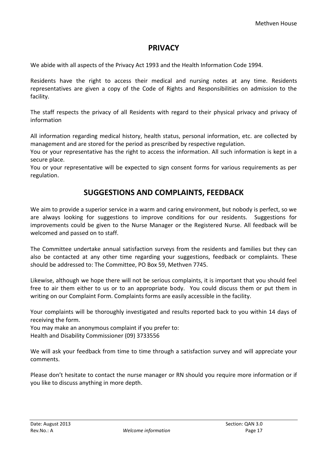### **PRIVACY**

We abide with all aspects of the Privacy Act 1993 and the Health Information Code 1994.

Residents have the right to access their medical and nursing notes at any time. Residents representatives are given a copy of the Code of Rights and Responsibilities on admission to the facility.

The staff respects the privacy of all Residents with regard to their physical privacy and privacy of information

All information regarding medical history, health status, personal information, etc. are collected by management and are stored for the period as prescribed by respective regulation.

You or your representative has the right to access the information. All such information is kept in a secure place.

You or your representative will be expected to sign consent forms for various requirements as per regulation.

# **SUGGESTIONS AND COMPLAINTS, FEEDBACK**

We aim to provide a superior service in a warm and caring environment, but nobody is perfect, so we are always looking for suggestions to improve conditions for our residents. Suggestions for improvements could be given to the Nurse Manager or the Registered Nurse. All feedback will be welcomed and passed on to staff.

The Committee undertake annual satisfaction surveys from the residents and families but they can also be contacted at any other time regarding your suggestions, feedback or complaints. These should be addressed to: The Committee, PO Box 59, Methven 7745.

Likewise, although we hope there will not be serious complaints, it is important that you should feel free to air them either to us or to an appropriate body. You could discuss them or put them in writing on our Complaint Form. Complaints forms are easily accessible in the facility.

Your complaints will be thoroughly investigated and results reported back to you within 14 days of receiving the form.

You may make an anonymous complaint if you prefer to: Health and Disability Commissioner (09) 3733556

We will ask your feedback from time to time through a satisfaction survey and will appreciate your comments.

Please don't hesitate to contact the nurse manager or RN should you require more information or if you like to discuss anything in more depth.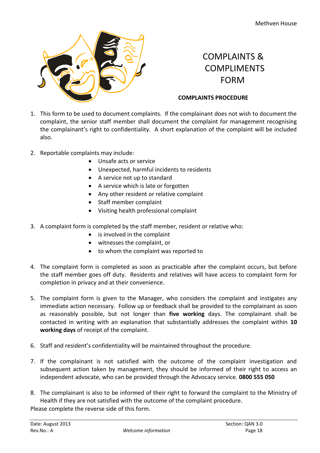

# COMPLAINTS & COMPLIMENTS FORM

#### **COMPLAINTS PROCEDURE**

- 1. This form to be used to document complaints. If the complainant does not wish to document the complaint, the senior staff member shall document the complaint for management recognising the complainant's right to confidentiality. A short explanation of the complaint will be included also.
- 2. Reportable complaints may include:
	- Unsafe acts or service
	- Unexpected, harmful incidents to residents
	- A service not up to standard
	- A service which is late or forgotten
	- Any other resident or relative complaint
	- Staff member complaint
	- Visiting health professional complaint
- 3. A complaint form is completed by the staff member, resident or relative who:
	- is involved in the complaint
	- witnesses the complaint, or
	- to whom the complaint was reported to
- 4. The complaint form is completed as soon as practicable after the complaint occurs, but before the staff member goes off duty. Residents and relatives will have access to complaint form for completion in privacy and at their convenience.
- 5. The complaint form is given to the Manager, who considers the complaint and instigates any immediate action necessary. Follow up or feedback shall be provided to the complainant as soon as reasonably possible, but not longer than **five working** days. The complainant shall be contacted in writing with an explanation that substantially addresses the complaint within **10 working days** of receipt of the complaint.
- 6. Staff and resident's confidentiality will be maintained throughout the procedure.
- 7. If the complainant is not satisfied with the outcome of the complaint investigation and subsequent action taken by management, they should be informed of their right to access an independent advocate, who can be provided through the Advocacy service. **0800 555 050**
- 8. The complainant is also to be informed of their right to forward the complaint to the Ministry of Health if they are not satisfied with the outcome of the complaint procedure. Please complete the reverse side of this form.